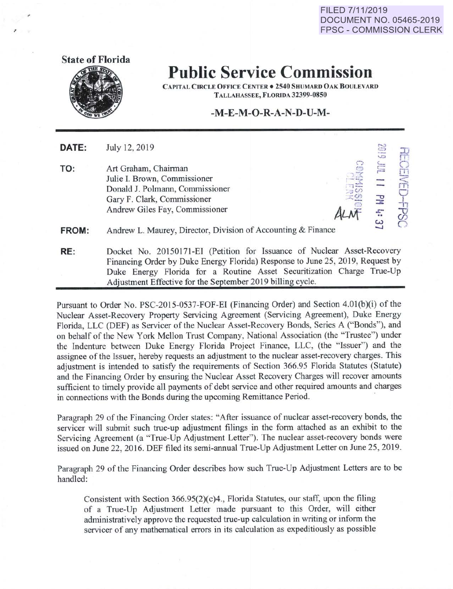**FILED 7/11/2019 DOCUMENT NO. 05465-2019 FPSC- COMMISSION CLERK** 



## **Public Service Commission**

CAPITAL CIRCLE OFFICE CENTER . 2540 SHUMARD OAK BOULEVARD TALLAHASSEE, FLORJDA 32399-0850

## **-M-E-M-0-R-A-N-D-U-M-**

**DATE:** July 12, 2019

**TO:** Art Graham, Chairman Julie I. Brown, Commissioner Donald J. Polmann, Commissioner Gary F. Clark, Commissioner Andrew Giles Fay, Commissioner

 $C_{\rm{max}}$  $\cong$   $\mathbb{R}$ ("J  $\geq$   $\geq$  $\overline{ }$  $\cdot$  up "'~ *Auf*  ...0  $\widetilde{\pi}$  $\overline{P}$ ᆂ +  $\overline{c}$  $.8$ 

**FROM:** Andrew L. Maurey, Director, Division of Accounting & Finance

**RE:** Docket No. 20150171-EI (Petition for Issuance of Nuclear Asset-Recovery Financing Order by Duke Energy Florida) Response to June 25, 2019, Request by Duke Energy Florida for a Routine Asset Securitization Charge True-Up Adjustment Effective for the September 2019 billing cycle.

Pursuant to Order No. PSC-2015-0537-FOF-EI (Financing Order) and Section 4.0l(b)(i) of the Nuclear Asset-Recovery Property Servicing Agreement (Servicing Agreement), Duke Energy Florida, LLC (DEF) as Servicer of the Nuclear Asset-Recovery Bonds, Series A ("Bonds"), and on behalf of the New York Mellon Trust Company, National Association (the "Trustee") under the Indenture between Duke Energy Florida Project Finance, LLC, (the "Issuer") and the assignee of the Issuer, hereby requests an adjustment to the nuclear asset-recovery charges. This adjustment is intended to satisfy the requirements of Section 366.95 Florida Statutes (Statute) and the Financing Order by ensuring the Nuclear Asset Recovery Charges will recover amounts sufficient to timely provide all payments of debt service and other required amounts and charges in connections with the Bonds during the upcoming Remittance Period.

Paragraph 29 of the Financing Order states: "After issuance of nuclear asset-recovery bonds, the servicer will submit such true-up adjustment filings in the form attached as an exhibit to the Servicing Agreement (a "True-Up Adjustment Letter"). The nuclear asset-recovery bonds were issued on June 22,2016. DEF filed its semi-annual True-Up Adjustment Letter on June 25,2019.

Paragraph 29 of the Financing Order describes how such True-Up Adjustment Letters are to be handled:

Consistent with Section 366.95(2)(c)4., Florida Statutes, our staff, upon the filing of a True-Up Adjustment Letter made pursuant to this Order, will either administratively approve the requested true-up calculation in writing or inform the servicer of any mathematical errors in its calculation as expeditiously as possible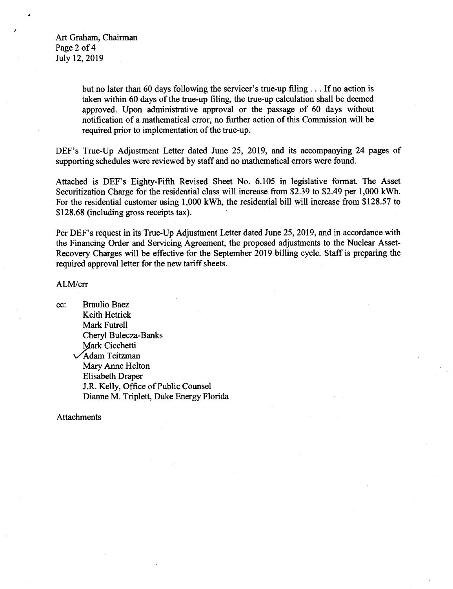Art Graham, Chairman Page 2 of 4 July 12, 2019

> but no later than 60 days following the servicer's true-up filing ... If no action is taken within 60 days of the true-up filing, the true-up calculation shall be deemed approved. Upon administrative approval or the passage of 60 days without notification of a mathematical error, no further action of this Commission will be required prior to implementation of the true-up.

DEF's True-Up Adjustment Letter dated June 25, 2019, and its accompanying 24 pages of supporting schedules were reviewed by staff and no mathematical errors were found.

Attached is DEF's Eighty-Fifth Revised Sheet No. 6.105 in legislative format. The Asset Securitization Charge for the residential class will increase from \$2.39 to \$2.49 per 1,000 kWh. For the residential customer using 1,000 kWh, the residential bill will increase from \$128.57 to \$128.68 (including gross receipts tax).

Per DEF's request in its True-Up Adjustment Letter dated June 25, 2019, and in accordance with the Financing Order and Servicing Agreement, the proposed adjustments to the Nuclear Asset-Recovery Charges will be effective for the September 2019 billing cycle. Staff is preparing the required approval letter for the new tariff sheets.

## ALM/crr

cc: Braulio Baez Keith Hetrick Mark Futrell Cheryl Bulecza-Banks **Mark Cicchetti** VAdam Teitzman Mary Anne Helton Elisabeth Draper J.R. Kelly, Office of Public Counsel Dianne M. Triplett, Duke Energy Florida

Attachments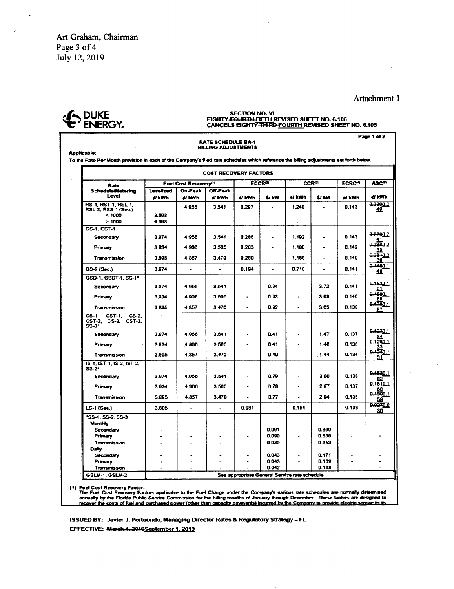Art Graham, Chairman Page 3 of 4 July 12, 2019

## Attachment 1



SECTION NO. VI<br>EIGHTY-<del>FOURTH-FIFTH</del> REVISED SHEET NO. 6.105<br>CANCELS EIGHTY-<del>THIRD-<u>FOURTH</u> REVISED SHEET</del> NO. 6.105

| <b>RATE SCHEDULE BA-1</b><br><b>BILLING ADJUSTMENTS</b><br>Applicable:<br>To the Rate Per Month provision in each of the Company's filed rate schedules which reference the billing adjustments set forth below. |                                   |                          |                           |                          |                          |                                               |                |                          |                        |
|------------------------------------------------------------------------------------------------------------------------------------------------------------------------------------------------------------------|-----------------------------------|--------------------------|---------------------------|--------------------------|--------------------------|-----------------------------------------------|----------------|--------------------------|------------------------|
|                                                                                                                                                                                                                  |                                   |                          |                           |                          |                          |                                               |                |                          |                        |
| Rate                                                                                                                                                                                                             | Fuel Cost Recovery <sup>(1)</sup> |                          |                           | <b>ECCR®</b>             |                          | <b>CCR<sup>IN</sup></b>                       |                | <b>ECRC<sup>te</sup></b> | <b>ASC<sup>®</sup></b> |
| <b>Schedule/Wetering</b><br>Level                                                                                                                                                                                | <b>Levelized</b><br>éi kWh        | On-Peak<br>e/ kWh        | <b>Off-Peak</b><br>éi kWh | d kWh                    | S/ kW                    | di kWh                                        | <b>SJ KW</b>   | di kWh                   | ei kWh                 |
| <b>RS-1, RST-1, RSL-1.</b>                                                                                                                                                                                       |                                   | 4.956                    | 3.541                     | 0.297                    |                          | 1.248                                         |                | 0.143                    | 0.2300.2               |
| RSL-2, RSS-1 (Sec.)                                                                                                                                                                                              |                                   |                          |                           |                          |                          |                                               |                |                          | 49                     |
| < 1000                                                                                                                                                                                                           | 3 BQR                             |                          |                           |                          |                          |                                               |                |                          |                        |
| >1000                                                                                                                                                                                                            | 4.698                             |                          |                           |                          |                          | $\bullet$                                     |                |                          |                        |
| GS-1, GST-1                                                                                                                                                                                                      |                                   |                          |                           |                          |                          |                                               |                |                          | 0.2360.2               |
| Secondary                                                                                                                                                                                                        | 3.974                             | 4.956                    | 3.541                     | 0.286                    | $\ddot{\phantom{1}}$     | 1.192                                         | ٠              | 0.143                    |                        |
| Primary                                                                                                                                                                                                          | 3.034                             | 4.906                    | 3.505                     | 0.283                    | $\overline{\phantom{a}}$ | 1.180                                         | ÷.             | 0.142                    | 2.03340                |
|                                                                                                                                                                                                                  |                                   |                          |                           |                          |                          |                                               |                |                          | 39.                    |
| Transmission                                                                                                                                                                                                     | 3.895                             | 4.857                    | 3.470                     | 0.280                    |                          | 1.168                                         |                | 0.140                    | 0.2310.2<br>36         |
| GS-2 (Sec.)                                                                                                                                                                                                      | 3.974                             | $\overline{\phantom{a}}$ | $\hat{\phantom{a}}$       | 0.194                    | $\blacksquare$           | 0.718                                         | ٠              | 0.141                    | 0.1400.1<br>46.        |
| GSD-1, GSDT-1, SS-1*                                                                                                                                                                                             |                                   |                          |                           |                          |                          |                                               |                |                          |                        |
| Secondary                                                                                                                                                                                                        | 3.974                             | 4.956                    | 3.541                     |                          | 0.04                     |                                               | 3.72           | 0.141                    | 0.1820.1               |
|                                                                                                                                                                                                                  |                                   |                          |                           |                          |                          |                                               |                |                          | 91                     |
| Primary                                                                                                                                                                                                          | 3.934                             | 4.906                    | 3.505                     |                          | 0.93                     |                                               | 3.68           | 0.140                    | 0.1800.1<br>B9         |
| Transmission                                                                                                                                                                                                     | 3.895                             | 4.857                    | 3.470                     |                          | 0.92                     | $\ddot{\phantom{0}}$                          | 3.65           | 0.130                    | 1. 1947 م<br>87.       |
| $CS-2$<br>$CST-1.$<br>$CS-1.$<br>CST-2, CS-3, CST-3,<br>$S5-3"$                                                                                                                                                  |                                   |                          |                           |                          |                          |                                               |                |                          |                        |
| Secondary                                                                                                                                                                                                        | 3.974                             | 4.956                    | 3.541                     |                          | 0.41                     |                                               | 1.47           | 0.137                    | 1. 11220               |
| Primary                                                                                                                                                                                                          | 3.034                             | 4.906                    | 3.505                     | $\overline{\phantom{a}}$ | 0.41                     | $\bullet$                                     | 1.46           | 0.136                    | 0.1260.1               |
| <b>Transmission</b>                                                                                                                                                                                              | 3.895                             | 4.857                    | 3.470                     |                          | 0.40                     | $\overline{\phantom{a}}$                      | , 1.44         | 0.134                    | ر انتشده<br>31         |
| IS-1, IST-1, IS-2, IST-2.<br>SS-2*                                                                                                                                                                               |                                   |                          |                           |                          |                          |                                               |                |                          |                        |
| Secondary                                                                                                                                                                                                        | 3974                              | 4.955                    | 3.541                     |                          | 0.79                     | ٠                                             | 3.00           | 0.138                    | 0.1530.1<br>62         |
|                                                                                                                                                                                                                  |                                   |                          |                           |                          |                          |                                               | 2.97           | 0.137                    | 0.1510.1               |
| Primary                                                                                                                                                                                                          | 3.934                             | 4.008                    | 3.505                     | $\overline{\phantom{a}}$ | 0.78                     | $\overline{a}$                                |                |                          |                        |
| Transmission                                                                                                                                                                                                     | 3.805                             | 4.857                    | 3.470                     |                          | 0.77                     |                                               | 2.94           | 0.135                    | 0.1500.1<br>59         |
| LS-1 (Sec.)                                                                                                                                                                                                      | 3.805                             | ÷.                       | $\ddot{\phantom{1}}$      | 0.081                    | $\overline{a}$           | 0.154                                         |                | 0.138                    | 0.0270.0<br>30         |
| 'SS-1, SS-2, SS-3                                                                                                                                                                                                |                                   |                          |                           |                          |                          |                                               |                |                          |                        |
| Monthly                                                                                                                                                                                                          |                                   |                          |                           |                          |                          |                                               |                |                          |                        |
| Secondary                                                                                                                                                                                                        |                                   |                          |                           |                          | 0.091                    | $\ddot{\phantom{0}}$                          | 0.360          |                          |                        |
| Primary                                                                                                                                                                                                          |                                   |                          |                           |                          | 0.090                    |                                               | 0.356          |                          |                        |
| Transmission                                                                                                                                                                                                     |                                   |                          |                           | $\overline{\phantom{a}}$ | 0.089                    | $\blacksquare$                                | 0.353          | $\blacksquare$           |                        |
| Daty                                                                                                                                                                                                             |                                   |                          |                           |                          |                          |                                               |                |                          |                        |
| Secondary                                                                                                                                                                                                        |                                   |                          |                           | ٠                        | 0.043                    | ÷                                             | 0.171          |                          |                        |
| Primary                                                                                                                                                                                                          |                                   |                          |                           |                          | 0.043<br>0.042           |                                               | 0.169<br>0.188 | ٠                        |                        |
| Transmission<br>GSLM-1, GSLM-2                                                                                                                                                                                   |                                   |                          |                           |                          |                          | See appropriate General Service rate schedule |                |                          |                        |

(1) Fuel Cost Recovery Factor:<br>The Fuel Change under the Company's various rate schedules are normally determined<br>The Florida Public Service Commission for the billing months of January through December. These factors are

ISSUED BY: Javier J. Portuondo, Managing Director Rates & Regulatory Strategy - FL EFFECTIVE: March 4, 2019 September 1, 2019